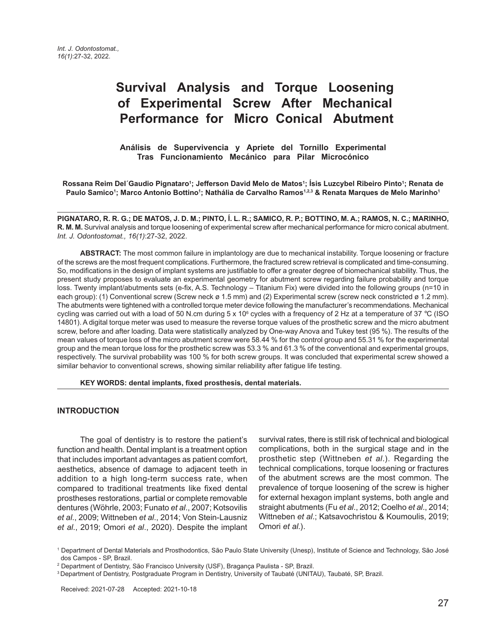# **Survival Analysis and Torque Loosening of Experimental Screw After Mechanical Performance for Micro Conical Abutment**

 **Análisis de Supervivencia y Apriete del Tornillo Experimental Tras Funcionamiento Mecánico para Pilar Microcónico**

**Rossana Reim Del´Gaudio Pignataro1 ; Jefferson David Melo de Matos1 ; Ísis Luzcybel Ribeiro Pinto1 ; Renata de Paulo Samico1 ; Marco Antonio Bottino1 ; Nathália de Carvalho Ramos1,2,3 & Renata Marques de Melo Marinho1**

**PIGNATARO, R. R. G.; DE MATOS, J. D. M.; PINTO, Í. L. R.; SAMICO, R. P.; BOTTINO, M. A.; RAMOS, N. C.; MARINHO, R. M. M.** Survival analysis and torque loosening of experimental screw after mechanical performance for micro conical abutment. *Int. J. Odontostomat., 16(1)*:27-32, 2022.

**ABSTRACT:** The most common failure in implantology are due to mechanical instability. Torque loosening or fracture of the screws are the most frequent complications. Furthermore, the fractured screw retrieval is complicated and time-consuming. So, modifications in the design of implant systems are justifiable to offer a greater degree of biomechanical stability. Thus, the present study proposes to evaluate an experimental geometry for abutment screw regarding failure probability and torque loss. Twenty implant/abutments sets (e-fix, A.S. Technology – Titanium Fix) were divided into the following groups (n=10 in each group): (1) Conventional screw (Screw neck ø 1.5 mm) and (2) Experimental screw (screw neck constricted ø 1.2 mm). The abutments were tightened with a controlled torque meter device following the manufacturer's recommendations. Mechanical cycling was carried out with a load of 50 N.cm during  $5 \times 10^6$  cycles with a frequency of 2 Hz at a temperature of 37 °C (ISO 14801). A digital torque meter was used to measure the reverse torque values of the prosthetic screw and the micro abutment screw, before and after loading. Data were statistically analyzed by One-way Anova and Tukey test (95 %). The results of the mean values of torque loss of the micro abutment screw were 58.44 % for the control group and 55.31 % for the experimental group and the mean torque loss for the prosthetic screw was 53.3 % and 61.3 % of the conventional and experimental groups, respectively. The survival probability was 100 % for both screw groups. It was concluded that experimental screw showed a similar behavior to conventional screws, showing similar reliability after fatigue life testing.

**KEY WORDS: dental implants, fixed prosthesis, dental materials.**

#### **INTRODUCTION**

The goal of dentistry is to restore the patient's function and health. Dental implant is a treatment option that includes important advantages as patient comfort, aesthetics, absence of damage to adjacent teeth in addition to a high long-term success rate, when compared to traditional treatments like fixed dental prostheses restorations, partial or complete removable dentures (Wöhrle, 2003; Funato *et al*., 2007; Kotsovilis *et al*., 2009; Wittneben *et al*., 2014; Von Stein-Lausniz *et al*., 2019; Omori *et al*., 2020). Despite the implant

survival rates, there is still risk of technical and biological complications, both in the surgical stage and in the prosthetic step (Wittneben *et al*.). Regarding the technical complications, torque loosening or fractures of the abutment screws are the most common. The prevalence of torque loosening of the screw is higher for external hexagon implant systems, both angle and straight abutments (Fu *et al*., 2012; Coelho *et al*., 2014; Wittneben *et al*.; Katsavochristou & Koumoulis, 2019; Omori *et al*.).

1 Department of Dental Materials and Prosthodontics, São Paulo State University (Unesp), Institute of Science and Technology, São José dos Campos - SP, Brazil.

<sup>2</sup> Department of Dentistry, São Francisco University (USF), Bragança Paulista - SP, Brazil.

<sup>3</sup> Department of Dentistry, Postgraduate Program in Dentistry, University of Taubaté (UNITAU), Taubaté, SP, Brazil.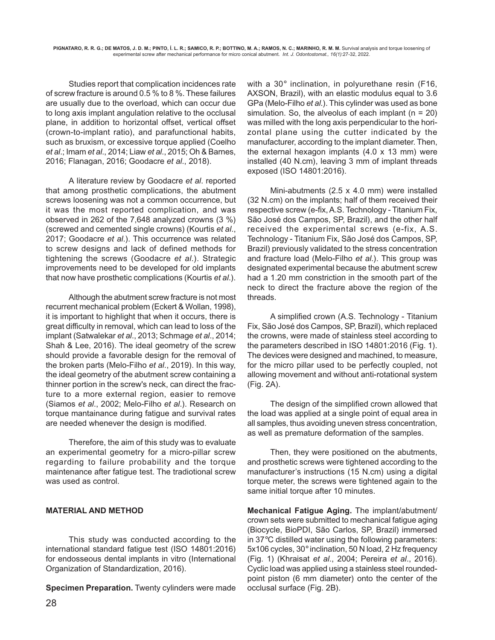Studies report that complication incidences rate of screw fracture is around 0.5 % to 8 %. These failures are usually due to the overload, which can occur due to long axis implant angulation relative to the occlusal plane, in addition to horizontal offset, vertical offset (crown-to-implant ratio), and parafunctional habits, such as bruxism, or excessive torque applied (Coelho *et al*.; Imam *et al*., 2014; Liaw *et al*., 2015; Oh & Barnes, 2016; Flanagan, 2016; Goodacre *et al*., 2018).

A literature review by Goodacre *et al*. reported that among prosthetic complications, the abutment screws loosening was not a common occurrence, but it was the most reported complication, and was observed in 262 of the 7,648 analyzed crowns (3 %) (screwed and cemented single crowns) (Kourtis *et al*., 2017; Goodacre *et al*.). This occurrence was related to screw designs and lack of defined methods for tightening the screws (Goodacre *et al*.). Strategic improvements need to be developed for old implants that now have prosthetic complications (Kourtis *et al*.).

Although the abutment screw fracture is not most recurrent mechanical problem (Eckert & Wollan, 1998), it is important to highlight that when it occurs, there is great difficulty in removal, which can lead to loss of the implant (Satwalekar *et al*., 2013; Schmage *et al*., 2014; Shah & Lee, 2016). The ideal geometry of the screw should provide a favorable design for the removal of the broken parts (Melo-Filho *et al*., 2019). In this way, the ideal geometry of the abutment screw containing a thinner portion in the screw's neck, can direct the fracture to a more external region, easier to remove (Siamos *et al*., 2002; Melo-Filho *et al*.). Research on torque mantainance during fatigue and survival rates are needed whenever the design is modified.

Therefore, the aim of this study was to evaluate an experimental geometry for a micro-pillar screw regarding to failure probability and the torque maintenance after fatigue test. The tradiotional screw was used as control.

## **MATERIAL AND METHOD**

This study was conducted according to the international standard fatigue test (ISO 14801:2016) for endosseous dental implants in vitro (International Organization of Standardization, 2016).

**Specimen Preparation.** Twenty cylinders were made

with a 30° inclination, in polyurethane resin (F16, AXSON, Brazil), with an elastic modulus equal to 3.6 GPa (Melo-Filho *et al*.). This cylinder was used as bone simulation. So, the alveolus of each implant  $(n = 20)$ was milled with the long axis perpendicular to the horizontal plane using the cutter indicated by the manufacturer, according to the implant diameter. Then, the external hexagon implants  $(4.0 \times 13 \text{ mm})$  were installed (40 N.cm), leaving 3 mm of implant threads exposed (ISO 14801:2016).

Mini-abutments (2.5 x 4.0 mm) were installed (32 N.cm) on the implants; half of them received their respective screw (e-fix, A.S. Technology - Titanium Fix, São José dos Campos, SP, Brazil), and the other half received the experimental screws (e-fix, A.S. Technology - Titanium Fix, São José dos Campos, SP, Brazil) previously validated to the stress concentration and fracture load (Melo-Filho *et al*.). This group was designated experimental because the abutment screw had a 1.20 mm constriction in the smooth part of the neck to direct the fracture above the region of the threads.

A simplified crown (A.S. Technology - Titanium Fix, São José dos Campos, SP, Brazil), which replaced the crowns, were made of stainless steel according to the parameters described in ISO 14801:2016 (Fig. 1). The devices were designed and machined, to measure, for the micro pillar used to be perfectly coupled, not allowing movement and without anti-rotational system (Fig. 2A).

The design of the simplified crown allowed that the load was applied at a single point of equal area in all samples, thus avoiding uneven stress concentration, as well as premature deformation of the samples.

Then, they were positioned on the abutments, and prosthetic screws were tightened according to the manufacturer's instructions (15 N.cm) using a digital torque meter, the screws were tightened again to the same initial torque after 10 minutes.

**Mechanical Fatigue Aging.** The implant/abutment/ crown sets were submitted to mechanical fatigue aging (Biocycle, BioPDI, São Carlos, SP, Brazil) immersed in 37°C distilled water using the following parameters: 5x106 cycles, 30° inclination, 50 N load, 2 Hz frequency (Fig. 1) (Khraisat *et al*., 2004; Pereira *et al*., 2016). Cyclic load was applied using a stainless steel roundedpoint piston (6 mm diameter) onto the center of the occlusal surface (Fig. 2B).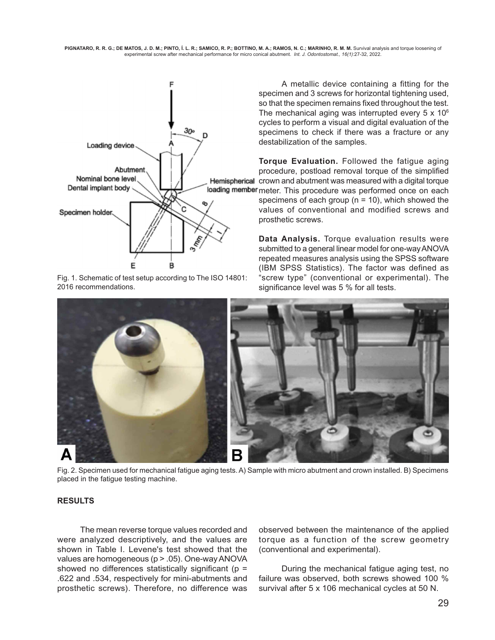

Fig. 1. Schematic of test setup according to The ISO 14801: 2016 recommendations.

 A metallic device containing a fitting for the specimen and 3 screws for horizontal tightening used, so that the specimen remains fixed throughout the test. The mechanical aging was interrupted every  $5 \times 10^6$ cycles to perform a visual and digital evaluation of the specimens to check if there was a fracture or any destabilization of the samples.

**Torque Evaluation.** Followed the fatigue aging procedure, postload removal torque of the simplified Hemispherical crown and abutment was measured with a digital torque loading member meter. This procedure was performed once on each specimens of each group ( $n = 10$ ), which showed the values of conventional and modified screws and prosthetic screws.

> **Data Analysis.** Torque evaluation results were submitted to a general linear model for one-way ANOVA repeated measures analysis using the SPSS software (IBM SPSS Statistics). The factor was defined as "screw type" (conventional or experimental). The significance level was 5 % for all tests.



Fig. 2. Specimen used for mechanical fatigue aging tests. A) Sample with micro abutment and crown installed. B) Specimens placed in the fatigue testing machine.

## **RESULTS**

The mean reverse torque values recorded and were analyzed descriptively, and the values are shown in Table I. Levene's test showed that the values are homogeneous (p > .05). One-way ANOVA showed no differences statistically significant ( $p =$ .622 and .534, respectively for mini-abutments and prosthetic screws). Therefore, no difference was

observed between the maintenance of the applied torque as a function of the screw geometry (conventional and experimental).

During the mechanical fatigue aging test, no failure was observed, both screws showed 100 % survival after 5 x 106 mechanical cycles at 50 N.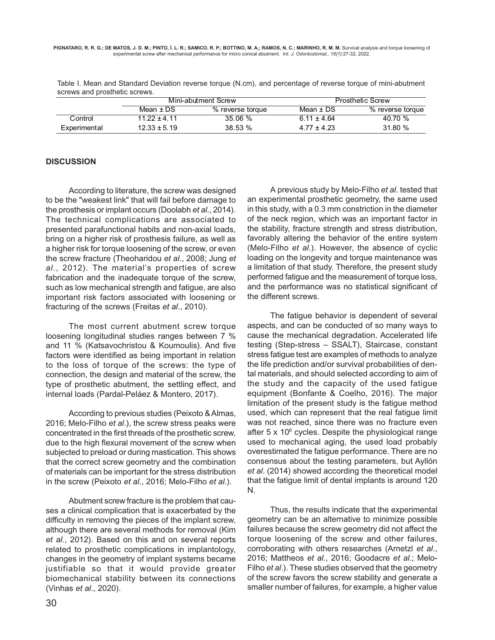Table I. Mean and Standard Deviation reverse torque (N.cm), and percentage of reverse torque of mini-abutment screws and prosthetic screws.

|              | Mini-abutment Screw |                  | <b>Prosthetic Screw</b> |                  |
|--------------|---------------------|------------------|-------------------------|------------------|
|              | Mean $\pm$ DS       | % reverse torque | Mean ± DS               | % reverse torque |
| Control      | $1122 + 411$        | $35.06 \%$       | $6.11 \pm 4.64$         | 40.70 %          |
| Experimental | $12.33 \pm 5.19$    | 38.53%           | $4.77 + 4.23$           | 31.80 %          |

#### **DISCUSSION**

According to literature, the screw was designed to be the "weakest link" that will fail before damage to the prosthesis or implant occurs (Doolabh *et al*., 2014). The technical complications are associated to presented parafunctional habits and non-axial loads, bring on a higher risk of prosthesis failure, as well as a higher risk for torque loosening of the screw, or even the screw fracture (Theoharidou *et al*., 2008; Jung *et al*., 2012). The material's properties of screw fabrication and the inadequate torque of the screw, such as low mechanical strength and fatigue, are also important risk factors associated with loosening or fracturing of the screws (Freitas *et al*., 2010).

The most current abutment screw torque loosening longitudinal studies ranges between 7 % and 11 % (Katsavochristou & Koumoulis). And five factors were identified as being important in relation to the loss of torque of the screws: the type of connection, the design and material of the screw, the type of prosthetic abutment, the settling effect, and internal loads (Pardal-Peláez & Montero, 2017).

According to previous studies (Peixoto & Almas, 2016; Melo-Filho *et al*.), the screw stress peaks were concentrated in the first threads of the prosthetic screw, due to the high flexural movement of the screw when subjected to preload or during mastication. This shows that the correct screw geometry and the combination of materials can be important for the stress distribution in the screw (Peixoto *et al*., 2016; Melo-Filho *et al*.).

Abutment screw fracture is the problem that causes a clinical complication that is exacerbated by the difficulty in removing the pieces of the implant screw, although there are several methods for removal (Kim *et al*., 2012). Based on this and on several reports related to prosthetic complications in implantology, changes in the geometry of implant systems became justifiable so that it would provide greater biomechanical stability between its connections (Vinhas *et al*., 2020).

A previous study by Melo-Filho *et al*. tested that an experimental prosthetic geometry, the same used in this study, with a 0.3 mm constriction in the diameter of the neck region, which was an important factor in the stability, fracture strength and stress distribution, favorably altering the behavior of the entire system (Melo-Filho *et al*.). However, the absence of cyclic loading on the longevity and torque maintenance was a limitation of that study. Therefore, the present study performed fatigue and the measurement of torque loss, and the performance was no statistical significant of the different screws.

The fatigue behavior is dependent of several aspects, and can be conducted of so many ways to cause the mechanical degradation. Accelerated life testing (Step-stress – SSALT), Staircase, constant stress fatigue test are examples of methods to analyze the life prediction and/or survival probabilities of dental materials, and should selected according to aim of the study and the capacity of the used fatigue equipment (Bonfante & Coelho, 2016). The major limitation of the present study is the fatigue method used, which can represent that the real fatigue limit was not reached, since there was no fracture even after 5 x 10<sup>6</sup> cycles. Despite the physiological range used to mechanical aging, the used load probably overestimated the fatigue performance. There are no consensus about the testing parameters, but Ayllón *et al*. (2014) showed according the theoretical model that the fatigue limit of dental implants is around 120 N.

Thus, the results indicate that the experimental geometry can be an alternative to minimize possible failures because the screw geometry did not affect the torque loosening of the screw and other failures, corroborating with others researches (Arnetzl *et al*., 2016; Mattheos *et al*., 2016; Goodacre *et al*.; Melo-Filho *et al*.). These studies observed that the geometry of the screw favors the screw stability and generate a smaller number of failures, for example, a higher value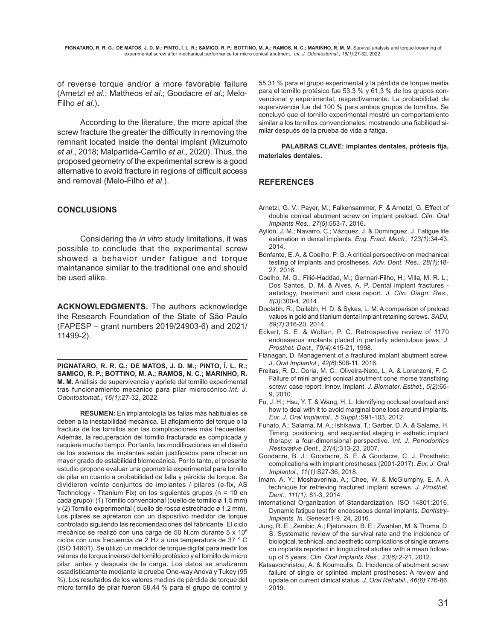of reverse torque and/or a more favorable failure (Arnetzl *et al*.; Mattheos *et al*.; Goodacre *et al*.; Melo-Filho *et al*.).

According to the literature, the more apical the screw fracture the greater the difficulty in removing the remnant located inside the dental implant (Mizumoto *et al*., 2018; Malpartida-Carrillo *et al*., 2020). Thus, the proposed geometry of the experimental screw is a good alternative to avoid fracture in regions of difficult access and removal (Melo-Filho *et al*.).

#### **CONCLUSIONS**

Considering the *in vitro* study limitations, it was possible to conclude that the experimental screw showed a behavior under fatigue and torque maintanance similar to the traditional one and should be used alike.

**ACKNOWLEDGMENTS.** The authors acknowledge the Research Foundation of the State of São Paulo (FAPESP – grant numbers 2019/24903-6) and 2021/ 11499-2).

**PIGNATARO, R. R. G.; DE MATOS, J. D. M.; PINTO, Í. L. R.; SAMICO, R. P.; BOTTINO, M. A.; RAMOS, N. C.; MARINHO, R. M. M.** Análisis de supervivencia y apriete del tornillo experimental tras funcionamiento mecánico para pilar microcónico.*Int. J. Odontostomat., 16(1)*:27-32, 2022.

**RESUMEN:** En implantología las fallas más habituales se deben a la inestabilidad mecánica. El aflojamiento del torque o la fractura de los tornillos son las complicaciones más frecuentes. Además, la recuperación del tornillo fracturado es complicada y requiere mucho tiempo. Por tanto, las modificaciones en el diseño de los sistemas de implantes están justificados para ofrecer un mayor grado de estabilidad biomecánica. Por lo tanto, el presente estudio propone evaluar una geometría experimental para tornillo de pilar en cuanto a probabilidad de falla y pérdida de torque. Se dividieron veinte conjuntos de implantes / pilares (e-fix, AS Technology - Titanium Fix) en los siguientes grupos (n = 10 en cada grupo): (1) Tornillo convencional (cuello de tornillo ø 1,5 mm) y (2) Tornillo experimental ( cuello de rosca estrechado ø 1,2 mm). Los pilares se apretaron con un dispositivo medidor de torque controlado siguiendo las recomendaciones del fabricante. El ciclo mecánico se realizó con una carga de 50 N.cm durante 5 x 106 ciclos con una frecuencia de 2 Hz a una temperatura de 37 ° C (ISO 14801). Se utilizó un medidor de torque digital para medir los valores de torque inverso del tornillo protésico y el tornillo de micro pilar, antes y después de la carga. Los datos se analizaron estadísticamente mediante la prueba One-way Anova y Tukey (95 %). Los resultados de los valores medios de pérdida de torque del micro tornillo de pilar fueron 58,44 % para el grupo de control y 55,31 % para el grupo experimental y la pérdida de torque media para el tornillo protésico fue 53,3 % y 61,3 % de los grupos convencional y experimental, respectivamente. La probabilidad de supervivencia fue del 100 % para ambos grupos de tornillos. Se concluyó que el tornillo experimental mostró un comportamiento similar a los tornillos convencionales, mostrando una fiabilidad similar después de la prueba de vida a fatiga.

**PALABRAS CLAVE: implantes dentales, prótesis fija, materiales dentales.**

## **REFERENCES**

- Arnetzl, G. V.; Payer, M.; Falkensammer, F. & Arnetzl, G. Effect of double conical abutment screw on implant preload. *Clin. Oral Implants Res., 27(5)*:553-7, 2016.
- Ayllón, J. M.; Navarro, C.; Vázquez, J. & Domínguez, J. Fatigue life estimation in dental implants. *Eng. Fract. Mech., 123(1)*:34-43, 2014.
- Bonfante, E. A. & Coelho, P. G. A critical perspective on mechanical testing of implants and prostheses. *Adv. Dent. Res., 28(1)*:18- 27, 2016.
- Coelho, M. G.; Filié-Haddad, M.; Gennari-Filho, H.; Villa, M. R. L.; Dos Santos, D. M. & Alves, A. P. Dental implant fractures aetiology, treatment and case report. *J. Clin. Diagn. Res., 8(3)*:300-4, 2014.
- Doolabh, R.; Dullabh, H. D. & Sykes, L. M. A comparison of preload values in gold and titanium dental implant retaining screws. *SADJ, 69(7)*:316-20, 2014.
- Eckert, S. E. & Wollan, P. C. Retrospective review of 1170 endosseous implants placed in partially edentulous jaws. *J. Prosthet. Dent., 79(4)*:415-21, 1998.
- Flanagan, D. Management of a fractured implant abutment screw. *J. Oral Implantol., 42(6)*:508-11, 2016.
- Freitas, R. D.; Doria, M. C.; Oliveira-Neto, L. A. & Lorenzoni, F. C. Failure of mini angled conical abutment cone morse transfixing screw: case report. Innov. Implant. *J. Biomater. Esthet., 5(2)*:65- 9, 2010.
- Fu, J. H.; Hsu, Y. T. & Wang, H. L. Identifying occlusal overload and how to deal with it to avoid marginal bone loss around implants. *Eur. J. Oral Implantol., 5 Suppl.*:S91-103, 2012.
- Funato, A.; Salama, M. A.; Ishikawa, T.; Garber, D. A. & Salama, H. Timing, positioning, and sequential staging in esthetic implant therapy: a four-dimensional perspective. I*nt. J. Periodontics Restorative Dent., 27(4)*:313-23, 2007.
- Goodacre, B. J.; Goodacre, S. E. & Goodacre, C. J. Prosthetic complications with implant prostheses (2001-2017). *Eur. J. Oral Implantol., 11(1)*:S27-36, 2018.
- Imam, A. Y.; Moshaverinia, A.; Chee, W. & McGlumphy, E. A. A technique for retrieving fractured implant screws. *J. Prosthet. Dent., 111(1)*: 81-3, 2014.
- International Organization of Standardization. ISO 14801:2016, Dynamic fatigue test for endosseous dental implants. *Dentistry-Implants. In. Geneva*:1-9. 24, 2016.
- Jung, R. E.; Zembic, A.; Pjetursson, B. E.; Zwahlen, M. & Thoma, D. S. Systematic review of the survival rate and the incidence of biological, technical, and aesthetic complications of single crowns on implants reported in longitudinal studies with a mean followup of 5 years. *Clin. Oral Implants Res., 23(6)*:2-21, 2012.
- Katsavochristou, A. & Koumoulis, D. Incidence of abutment screw failure of single or splinted implant prostheses: A review and update on current clinical status. *J. Oral Rehabil., 46(8)*:776-86, 2019.